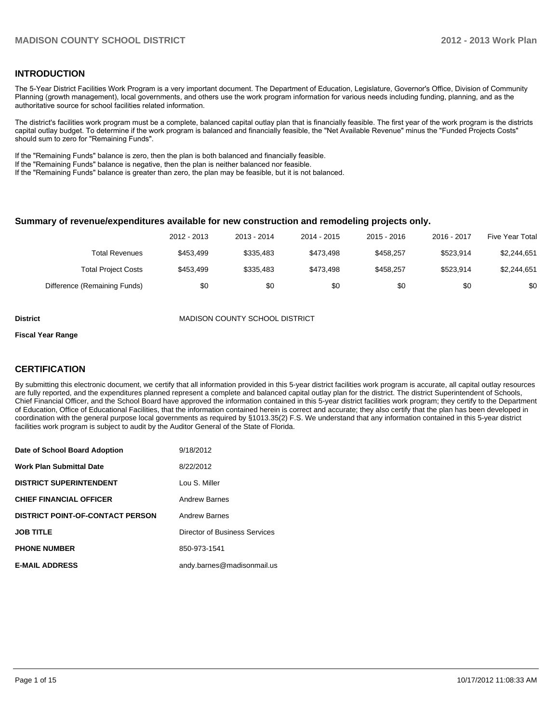### **INTRODUCTION**

The 5-Year District Facilities Work Program is a very important document. The Department of Education, Legislature, Governor's Office, Division of Community Planning (growth management), local governments, and others use the work program information for various needs including funding, planning, and as the authoritative source for school facilities related information.

The district's facilities work program must be a complete, balanced capital outlay plan that is financially feasible. The first year of the work program is the districts capital outlay budget. To determine if the work program is balanced and financially feasible, the "Net Available Revenue" minus the "Funded Projects Costs" should sum to zero for "Remaining Funds".

If the "Remaining Funds" balance is zero, then the plan is both balanced and financially feasible.

If the "Remaining Funds" balance is negative, then the plan is neither balanced nor feasible.

If the "Remaining Funds" balance is greater than zero, the plan may be feasible, but it is not balanced.

#### **Summary of revenue/expenditures available for new construction and remodeling projects only.**

|                              | 2012 - 2013 | 2013 - 2014 | 2014 - 2015 | $2015 - 2016$ | 2016 - 2017 | <b>Five Year Total</b> |
|------------------------------|-------------|-------------|-------------|---------------|-------------|------------------------|
| Total Revenues               | \$453.499   | \$335.483   | \$473.498   | \$458.257     | \$523.914   | \$2,244,651            |
| <b>Total Project Costs</b>   | \$453.499   | \$335.483   | \$473.498   | \$458.257     | \$523.914   | \$2,244,651            |
| Difference (Remaining Funds) | \$0         | \$0         | \$0         | \$0           | \$0         | \$0                    |

**District** MADISON COUNTY SCHOOL DISTRICT

#### **Fiscal Year Range**

### **CERTIFICATION**

By submitting this electronic document, we certify that all information provided in this 5-year district facilities work program is accurate, all capital outlay resources are fully reported, and the expenditures planned represent a complete and balanced capital outlay plan for the district. The district Superintendent of Schools, Chief Financial Officer, and the School Board have approved the information contained in this 5-year district facilities work program; they certify to the Department of Education, Office of Educational Facilities, that the information contained herein is correct and accurate; they also certify that the plan has been developed in coordination with the general purpose local governments as required by §1013.35(2) F.S. We understand that any information contained in this 5-year district facilities work program is subject to audit by the Auditor General of the State of Florida.

| Date of School Board Adoption           | 9/18/2012                     |
|-----------------------------------------|-------------------------------|
| <b>Work Plan Submittal Date</b>         | 8/22/2012                     |
| <b>DISTRICT SUPERINTENDENT</b>          | Lou S. Miller                 |
| <b>CHIEF FINANCIAL OFFICER</b>          | <b>Andrew Barnes</b>          |
| <b>DISTRICT POINT-OF-CONTACT PERSON</b> | <b>Andrew Barnes</b>          |
| <b>JOB TITLE</b>                        | Director of Business Services |
| <b>PHONE NUMBER</b>                     | 850-973-1541                  |
| <b>E-MAIL ADDRESS</b>                   | andy.barnes@madisonmail.us    |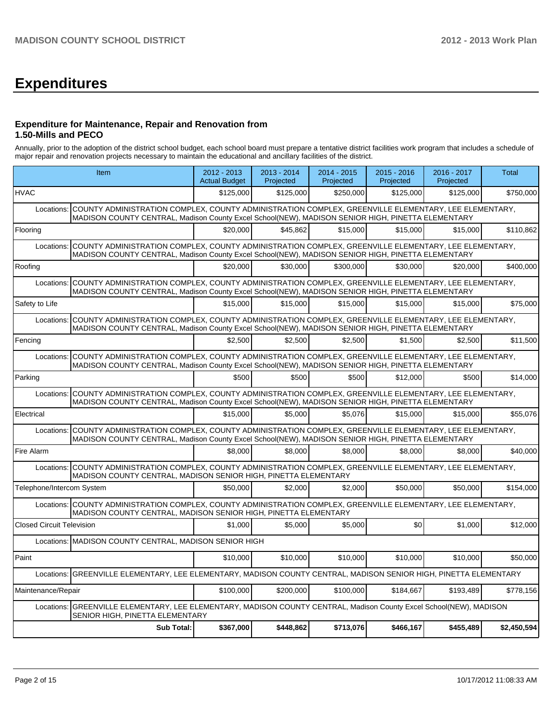# **Expenditures**

### **Expenditure for Maintenance, Repair and Renovation from 1.50-Mills and PECO**

Annually, prior to the adoption of the district school budget, each school board must prepare a tentative district facilities work program that includes a schedule of major repair and renovation projects necessary to maintain the educational and ancillary facilities of the district.

|                                  | Item                                                                                                                                                                                                                 |           | $2013 - 2014$<br>Projected | $2014 - 2015$<br>Projected | $2015 - 2016$<br>Projected | 2016 - 2017<br>Projected | Total       |
|----------------------------------|----------------------------------------------------------------------------------------------------------------------------------------------------------------------------------------------------------------------|-----------|----------------------------|----------------------------|----------------------------|--------------------------|-------------|
| <b>HVAC</b>                      |                                                                                                                                                                                                                      | \$125,000 | \$125,000                  | \$250,000                  | \$125,000                  | \$125,000                | \$750,000   |
| Locations:                       | COUNTY ADMINISTRATION COMPLEX, COUNTY ADMINISTRATION COMPLEX, GREENVILLE ELEMENTARY, LEE ELEMENTARY,<br>MADISON COUNTY CENTRAL, Madison County Excel School(NEW), MADISON SENIOR HIGH, PINETTA ELEMENTARY            |           |                            |                            |                            |                          |             |
| Flooring                         |                                                                                                                                                                                                                      | \$20,000  | \$45.862                   | \$15,000                   | \$15,000                   | \$15,000                 | \$110,862   |
| Locations:                       | COUNTY ADMINISTRATION COMPLEX, COUNTY ADMINISTRATION COMPLEX, GREENVILLE ELEMENTARY, LEE ELEMENTARY,<br>MADISON COUNTY CENTRAL, Madison County Excel School(NEW), MADISON SENIOR HIGH, PINETTA ELEMENTARY            |           |                            |                            |                            |                          |             |
| Roofing                          |                                                                                                                                                                                                                      | \$20,000  | \$30,000                   | \$300,000                  | \$30,000                   | \$20,000                 | \$400,000   |
| Locations:                       | COUNTY ADMINISTRATION COMPLEX, COUNTY ADMINISTRATION COMPLEX, GREENVILLE ELEMENTARY, LEE ELEMENTARY,<br>MADISON COUNTY CENTRAL, Madison County Excel School(NEW), MADISON SENIOR HIGH, PINETTA ELEMENTARY            |           |                            |                            |                            |                          |             |
| Safety to Life                   |                                                                                                                                                                                                                      | \$15,000  | \$15,000                   | \$15,000                   | \$15,000                   | \$15,000                 | \$75,000    |
| Locations:                       | COUNTY ADMINISTRATION COMPLEX, COUNTY ADMINISTRATION COMPLEX, GREENVILLE ELEMENTARY, LEE ELEMENTARY,<br>MADISON COUNTY CENTRAL, Madison County Excel School(NEW), MADISON SENIOR HIGH, PINETTA ELEMENTARY            |           |                            |                            |                            |                          |             |
| Fencing                          |                                                                                                                                                                                                                      | \$2.500   | \$2.500                    | \$2.500                    | \$1.500                    | \$2.500                  | \$11,500    |
|                                  | Locations: COUNTY ADMINISTRATION COMPLEX, COUNTY ADMINISTRATION COMPLEX, GREENVILLE ELEMENTARY, LEE ELEMENTARY,<br>MADISON COUNTY CENTRAL, Madison County Excel School(NEW), MADISON SENIOR HIGH, PINETTA ELEMENTARY |           |                            |                            |                            |                          |             |
| Parking                          |                                                                                                                                                                                                                      | \$500     | \$500                      | \$500                      | \$12,000                   | \$500                    | \$14,000    |
| Locations:                       | COUNTY ADMINISTRATION COMPLEX, COUNTY ADMINISTRATION COMPLEX, GREENVILLE ELEMENTARY, LEE ELEMENTARY,<br>MADISON COUNTY CENTRAL, Madison County Excel School(NEW), MADISON SENIOR HIGH, PINETTA ELEMENTARY            |           |                            |                            |                            |                          |             |
| Electrical                       |                                                                                                                                                                                                                      | \$15,000  | \$5,000                    | \$5.076                    | \$15,000                   | \$15,000                 | \$55,076    |
| Locations:                       | COUNTY ADMINISTRATION COMPLEX, COUNTY ADMINISTRATION COMPLEX, GREENVILLE ELEMENTARY, LEE ELEMENTARY,<br>MADISON COUNTY CENTRAL, Madison County Excel School(NEW), MADISON SENIOR HIGH, PINETTA ELEMENTARY            |           |                            |                            |                            |                          |             |
| Fire Alarm                       |                                                                                                                                                                                                                      | \$8,000   | \$8,000                    | \$8,000                    | \$8,000                    | \$8,000                  | \$40,000    |
| Locations:                       | COUNTY ADMINISTRATION COMPLEX, COUNTY ADMINISTRATION COMPLEX, GREENVILLE ELEMENTARY, LEE ELEMENTARY,<br>MADISON COUNTY CENTRAL, MADISON SENIOR HIGH, PINETTA ELEMENTARY                                              |           |                            |                            |                            |                          |             |
| Telephone/Intercom System        |                                                                                                                                                                                                                      | \$50,000  | \$2,000                    | \$2,000                    | \$50,000                   | \$50,000                 | \$154,000   |
|                                  | Locations: COUNTY ADMINISTRATION COMPLEX, COUNTY ADMINISTRATION COMPLEX, GREENVILLE ELEMENTARY, LEE ELEMENTARY,<br>MADISON COUNTY CENTRAL, MADISON SENIOR HIGH, PINETTA ELEMENTARY                                   |           |                            |                            |                            |                          |             |
| <b>Closed Circuit Television</b> |                                                                                                                                                                                                                      | \$1,000   | \$5.000                    | \$5,000                    | \$0                        | \$1,000                  | \$12,000    |
|                                  | Locations: MADISON COUNTY CENTRAL, MADISON SENIOR HIGH                                                                                                                                                               |           |                            |                            |                            |                          |             |
| Paint                            |                                                                                                                                                                                                                      | \$10,000  | \$10,000                   | \$10,000                   | \$10,000                   | \$10,000                 | \$50,000    |
| Locations:                       | GREENVILLE ELEMENTARY, LEE ELEMENTARY, MADISON COUNTY CENTRAL, MADISON SENIOR HIGH, PINETTA ELEMENTARY                                                                                                               |           |                            |                            |                            |                          |             |
| Maintenance/Repair               |                                                                                                                                                                                                                      | \$100,000 | \$200.000                  | \$100,000                  | \$184,667                  | \$193,489                | \$778,156   |
|                                  | Locations: GREENVILLE ELEMENTARY, LEE ELEMENTARY, MADISON COUNTY CENTRAL, Madison County Excel School(NEW), MADISON<br>SENIOR HIGH, PINETTA ELEMENTARY                                                               |           |                            |                            |                            |                          |             |
|                                  | <b>Sub Total:</b>                                                                                                                                                                                                    | \$367,000 | \$448,862                  | \$713,076                  | \$466,167                  | \$455,489                | \$2,450,594 |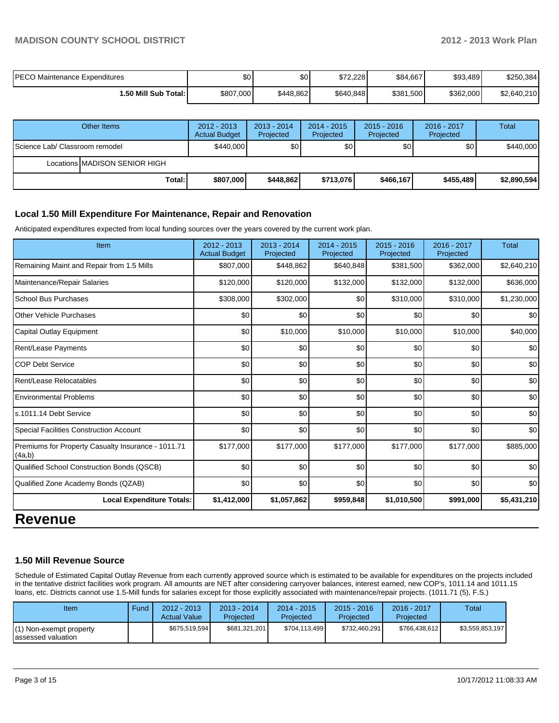## **MADISON COUNTY SCHOOL DISTRICT 2012 - 2013 Work Plan**

| <b>PECO Maintenance Expenditures</b> | \$0       | \$0 <sub>1</sub> | \$72.228  | \$84,667  | \$93,489  | \$250,384   |
|--------------------------------------|-----------|------------------|-----------|-----------|-----------|-------------|
| 50 Mill Sub Total: I                 | \$807,000 | \$448.862        | \$640,848 | \$381,500 | \$362.000 | \$2,640,210 |

|                                 | Other Items                   | $2012 - 2013$<br><b>Actual Budget</b> | $2013 - 2014$<br>Projected | $2014 - 2015$<br>Projected | $2015 - 2016$<br>Projected | $2016 - 2017$<br>Projected | Total       |
|---------------------------------|-------------------------------|---------------------------------------|----------------------------|----------------------------|----------------------------|----------------------------|-------------|
| IScience Lab/ Classroom remodel |                               | \$440,000                             | \$0                        | \$0                        | \$0                        | \$0 <sub>1</sub>           | \$440,000   |
|                                 | Locations MADISON SENIOR HIGH |                                       |                            |                            |                            |                            |             |
|                                 | Total:                        | \$807,000                             | \$448.862                  | \$713,076                  | \$466,167                  | \$455.489                  | \$2,890,594 |

#### **Local 1.50 Mill Expenditure For Maintenance, Repair and Renovation**

Anticipated expenditures expected from local funding sources over the years covered by the current work plan.

| Item                                                         | $2012 - 2013$<br><b>Actual Budget</b> | $2013 - 2014$<br>Projected | $2014 - 2015$<br>Projected | $2015 - 2016$<br>Projected | 2016 - 2017<br>Projected | <b>Total</b> |
|--------------------------------------------------------------|---------------------------------------|----------------------------|----------------------------|----------------------------|--------------------------|--------------|
| Remaining Maint and Repair from 1.5 Mills                    | \$807,000                             | \$448,862                  | \$640,848                  | \$381,500                  | \$362,000                | \$2,640,210  |
| Maintenance/Repair Salaries                                  | \$120,000                             | \$120,000                  | \$132,000                  | \$132,000                  | \$132,000                | \$636,000    |
| School Bus Purchases                                         | \$308,000                             | \$302,000                  | \$0                        | \$310,000                  | \$310,000                | \$1,230,000  |
| <b>Other Vehicle Purchases</b>                               | \$0                                   | \$0                        | \$0                        | \$0                        | \$0                      | \$0          |
| Capital Outlay Equipment                                     | \$0                                   | \$10,000                   | \$10,000                   | \$10,000                   | \$10,000                 | \$40,000     |
| <b>Rent/Lease Payments</b>                                   | \$0                                   | \$0                        | \$0                        | \$0                        | \$0                      | \$0          |
| <b>COP Debt Service</b>                                      | \$0                                   | \$0                        | \$0                        | \$0                        | \$0                      | \$0          |
| Rent/Lease Relocatables                                      | \$0                                   | \$0                        | \$0                        | \$0                        | \$0                      | \$0          |
| <b>Environmental Problems</b>                                | \$0                                   | \$0                        | \$0                        | \$0                        | \$0                      | \$0          |
| s.1011.14 Debt Service                                       | \$0                                   | \$0                        | \$0                        | \$0                        | \$0                      | \$0          |
| <b>Special Facilities Construction Account</b>               | \$0                                   | \$0                        | \$0                        | \$0                        | \$0                      | \$0          |
| Premiums for Property Casualty Insurance - 1011.71<br>(4a,b) | \$177,000                             | \$177,000                  | \$177,000                  | \$177,000                  | \$177,000                | \$885,000    |
| Qualified School Construction Bonds (QSCB)                   | \$0                                   | \$0                        | \$0                        | \$0                        | \$0                      | \$0          |
| Qualified Zone Academy Bonds (QZAB)                          | \$0                                   | \$0                        | \$0                        | \$0                        | \$0                      | \$0          |
| <b>Local Expenditure Totals:</b>                             | \$1,412,000                           | \$1,057,862                | \$959,848                  | \$1,010,500                | \$991,000                | \$5,431,210  |

## **Revenue**

#### **1.50 Mill Revenue Source**

Schedule of Estimated Capital Outlay Revenue from each currently approved source which is estimated to be available for expenditures on the projects included in the tentative district facilities work program. All amounts are NET after considering carryover balances, interest earned, new COP's, 1011.14 and 1011.15 loans, etc. Districts cannot use 1.5-Mill funds for salaries except for those explicitly associated with maintenance/repair projects. (1011.71 (5), F.S.)

| Item                                          | Fund | $2012 - 2013$<br><b>Actual Value</b> | $2013 - 2014$<br>Projected | $2014 - 2015$<br>Projected | $2015 - 2016$<br>Projected | $2016 - 2017$<br>Projected | Total           |
|-----------------------------------------------|------|--------------------------------------|----------------------------|----------------------------|----------------------------|----------------------------|-----------------|
| (1) Non-exempt property<br>assessed valuation |      | \$675,519,594                        | \$681,321,201              | \$704,113,499              | \$732.460.291              | \$766.438.612              | \$3,559,853,197 |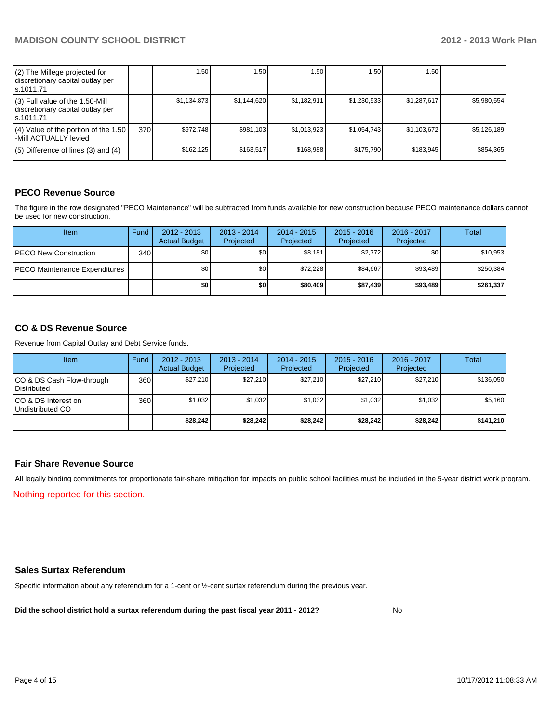| (2) The Millege projected for<br>discretionary capital outlay per<br>s.1011.71    |     | 1.50 <sub>1</sub> | .50 <sub>1</sub> | 1.50        | 1.50        | 1.50        |             |
|-----------------------------------------------------------------------------------|-----|-------------------|------------------|-------------|-------------|-------------|-------------|
| (3) Full value of the 1.50-Mill<br>discretionary capital outlay per<br>ls.1011.71 |     | \$1.134.873       | \$1.144.620      | \$1.182.911 | \$1.230.533 | \$1,287,617 | \$5.980.554 |
| (4) Value of the portion of the 1.50<br>-Mill ACTUALLY levied                     | 370 | \$972.748         | \$981.103        | \$1.013.923 | \$1.054.743 | \$1,103,672 | \$5,126,189 |
| $(5)$ Difference of lines (3) and (4)                                             |     | \$162,125         | \$163,517        | \$168.988   | \$175.790   | \$183,945   | \$854,365   |

## **PECO Revenue Source**

The figure in the row designated "PECO Maintenance" will be subtracted from funds available for new construction because PECO maintenance dollars cannot be used for new construction.

| <b>Item</b>                           | Fund | $2012 - 2013$<br><b>Actual Budget</b> | $2013 - 2014$<br>Projected | $2014 - 2015$<br>Projected | $2015 - 2016$<br>Projected | 2016 - 2017<br>Projected | Total     |
|---------------------------------------|------|---------------------------------------|----------------------------|----------------------------|----------------------------|--------------------------|-----------|
| <b>IPECO New Construction</b>         | 340  | \$0                                   | \$0                        | \$8,181                    | \$2,772                    | \$0                      | \$10,953  |
| <b>IPECO Maintenance Expenditures</b> |      | \$0                                   | \$0 <sub>1</sub>           | \$72,228                   | \$84.667                   | \$93.489                 | \$250,384 |
|                                       |      | \$0 I                                 | \$0                        | \$80,409                   | \$87.439                   | \$93,489                 | \$261,337 |

### **CO & DS Revenue Source**

Revenue from Capital Outlay and Debt Service funds.

| <b>Item</b>                                     | Fund | $2012 - 2013$<br><b>Actual Budget</b> | $2013 - 2014$<br>Projected | $2014 - 2015$<br>Projected | $2015 - 2016$<br>Projected | 2016 - 2017<br>Projected | Total     |
|-------------------------------------------------|------|---------------------------------------|----------------------------|----------------------------|----------------------------|--------------------------|-----------|
| CO & DS Cash Flow-through<br><b>Distributed</b> | 360  | \$27,210                              | \$27.210                   | \$27.210                   | \$27.210                   | \$27,210                 | \$136,050 |
| CO & DS Interest on<br>Undistributed CO         | 360  | \$1,032                               | \$1,032                    | \$1,032                    | \$1,032                    | \$1,032                  | \$5,160   |
|                                                 |      | \$28,242                              | \$28,242                   | \$28,242                   | \$28,242                   | \$28,242                 | \$141,210 |

#### **Fair Share Revenue Source**

Nothing reported for this section. All legally binding commitments for proportionate fair-share mitigation for impacts on public school facilities must be included in the 5-year district work program.

#### **Sales Surtax Referendum**

Specific information about any referendum for a 1-cent or ½-cent surtax referendum during the previous year.

**Did the school district hold a surtax referendum during the past fiscal year 2011 - 2012?**

No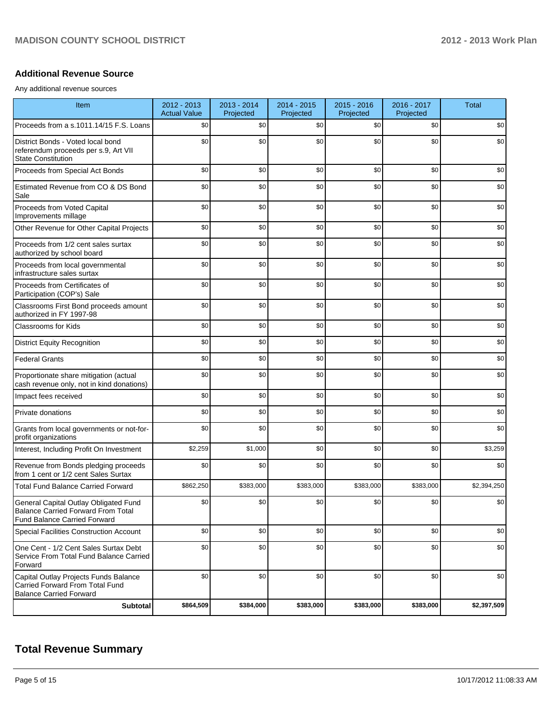#### **Additional Revenue Source**

Any additional revenue sources

| Item                                                                                                               | 2012 - 2013<br><b>Actual Value</b> | 2013 - 2014<br>Projected | 2014 - 2015<br>Projected | 2015 - 2016<br>Projected | 2016 - 2017<br>Projected | <b>Total</b> |
|--------------------------------------------------------------------------------------------------------------------|------------------------------------|--------------------------|--------------------------|--------------------------|--------------------------|--------------|
| Proceeds from a s.1011.14/15 F.S. Loans                                                                            | \$0                                | \$0                      | \$0                      | \$0                      | \$0                      | \$0          |
| District Bonds - Voted local bond<br>referendum proceeds per s.9, Art VII<br><b>State Constitution</b>             | \$0                                | \$0                      | \$0                      | \$0                      | \$0                      | \$0          |
| Proceeds from Special Act Bonds                                                                                    | \$0                                | \$0                      | \$0                      | \$0                      | \$0                      | \$0          |
| Estimated Revenue from CO & DS Bond<br>Sale                                                                        | \$0                                | \$0                      | \$0                      | \$0                      | \$0                      | \$0          |
| Proceeds from Voted Capital<br>Improvements millage                                                                | \$0                                | \$0                      | \$0                      | \$0                      | \$0                      | \$0          |
| Other Revenue for Other Capital Projects                                                                           | \$0                                | \$0                      | \$0                      | \$0                      | \$0                      | \$0          |
| Proceeds from 1/2 cent sales surtax<br>authorized by school board                                                  | \$0                                | \$0                      | \$0                      | \$0                      | \$0                      | \$0          |
| Proceeds from local governmental<br>infrastructure sales surtax                                                    | \$0                                | \$0                      | \$0                      | \$0                      | \$0                      | \$0          |
| Proceeds from Certificates of<br>Participation (COP's) Sale                                                        | \$0                                | \$0                      | \$0                      | \$0                      | \$0                      | \$0          |
| Classrooms First Bond proceeds amount<br>authorized in FY 1997-98                                                  | \$0                                | \$0                      | \$0                      | \$0                      | \$0                      | \$0          |
| <b>Classrooms for Kids</b>                                                                                         | \$0                                | \$0                      | \$0                      | \$0                      | \$0                      | \$0          |
| <b>District Equity Recognition</b>                                                                                 | \$0                                | \$0                      | \$0                      | \$0                      | \$0                      | \$0          |
| <b>Federal Grants</b>                                                                                              | \$0                                | \$0                      | \$0                      | \$0                      | \$0                      | \$0          |
| Proportionate share mitigation (actual<br>cash revenue only, not in kind donations)                                | \$0                                | \$0                      | \$0                      | \$0                      | \$0                      | \$0          |
| Impact fees received                                                                                               | \$0                                | \$0                      | \$0                      | \$0                      | \$0                      | \$0          |
| Private donations                                                                                                  | \$0                                | \$0                      | \$0                      | \$0                      | \$0                      | \$0          |
| Grants from local governments or not-for-<br>profit organizations                                                  | \$0                                | \$0                      | \$0                      | \$0                      | \$0                      | \$0          |
| Interest, Including Profit On Investment                                                                           | \$2,259                            | \$1,000                  | \$0                      | \$0                      | \$0                      | \$3,259      |
| Revenue from Bonds pledging proceeds<br>from 1 cent or 1/2 cent Sales Surtax                                       | \$0                                | \$0                      | \$0                      | \$0                      | \$0                      | \$0          |
| <b>Total Fund Balance Carried Forward</b>                                                                          | \$862,250                          | \$383,000                | \$383,000                | \$383,000                | \$383,000                | \$2,394,250  |
| General Capital Outlay Obligated Fund<br>Balance Carried Forward From Total<br><b>Fund Balance Carried Forward</b> | \$0                                | \$0                      | \$0                      | \$0                      | \$0                      | \$0          |
| <b>Special Facilities Construction Account</b>                                                                     | \$0                                | \$0                      | \$0                      | \$0                      | \$0                      | \$0          |
| One Cent - 1/2 Cent Sales Surtax Debt<br>Service From Total Fund Balance Carried<br>Forward                        | \$0                                | \$0                      | \$0                      | \$0                      | \$0                      | \$0          |
| Capital Outlay Projects Funds Balance<br>Carried Forward From Total Fund<br><b>Balance Carried Forward</b>         | \$0                                | \$0                      | \$0                      | \$0                      | \$0                      | \$0          |
| <b>Subtotal</b>                                                                                                    | \$864,509                          | \$384,000                | \$383,000                | \$383,000                | \$383,000                | \$2,397,509  |

## **Total Revenue Summary**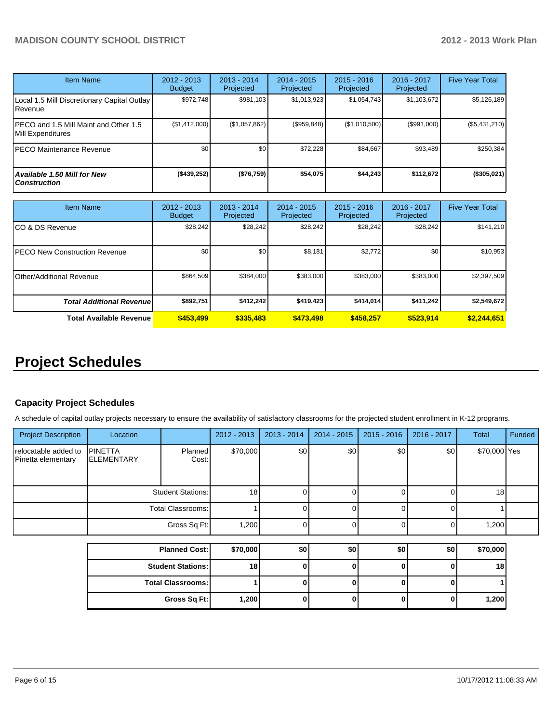| <b>Item Name</b>                                           | $2012 - 2013$<br><b>Budget</b> | $2013 - 2014$<br>Projected | $2014 - 2015$<br>Projected | $2015 - 2016$<br>Projected | $2016 - 2017$<br>Projected | <b>Five Year Total</b> |
|------------------------------------------------------------|--------------------------------|----------------------------|----------------------------|----------------------------|----------------------------|------------------------|
| Local 1.5 Mill Discretionary Capital Outlay<br>Revenue     | \$972.748                      | \$981.103                  | \$1,013,923                | \$1,054,743                | \$1,103,672                | \$5,126,189            |
| PECO and 1.5 Mill Maint and Other 1.5<br>Mill Expenditures | (\$1,412,000)                  | (\$1,057,862)              | (\$959,848)                | (\$1,010,500)              | (\$991,000)                | (\$5,431,210)          |
| <b>PECO Maintenance Revenue</b>                            | \$0                            | \$0                        | \$72,228                   | \$84.667                   | \$93,489                   | \$250,384              |
| <b>Available 1.50 Mill for New</b><br><b>Construction</b>  | ( \$439, 252)                  | (\$76,759)                 | \$54,075                   | \$44,243                   | \$112,672                  | (\$305,021)            |

| <b>Item Name</b>                      | 2012 - 2013<br><b>Budget</b> | $2013 - 2014$<br>Projected | $2014 - 2015$<br>Projected | $2015 - 2016$<br>Projected | 2016 - 2017<br>Projected | <b>Five Year Total</b> |
|---------------------------------------|------------------------------|----------------------------|----------------------------|----------------------------|--------------------------|------------------------|
| ICO & DS Revenue                      | \$28,242                     | \$28,242                   | \$28.242                   | \$28,242                   | \$28,242                 | \$141,210              |
| <b>IPECO New Construction Revenue</b> | \$0                          | \$0                        | \$8,181                    | \$2,772                    | \$0                      | \$10,953               |
| IOther/Additional Revenue             | \$864,509                    | \$384,000                  | \$383,000                  | \$383,000                  | \$383,000                | \$2,397,509            |
| <b>Total Additional Revenuel</b>      | \$892,751                    | \$412,242                  | \$419,423                  | \$414,014]                 | \$411,242                | \$2,549,672            |
| <b>Total Available Revenue</b>        | \$453,499                    | \$335,483                  | \$473,498                  | \$458.257                  | \$523.914                | \$2,244,651            |

# **Project Schedules**

## **Capacity Project Schedules**

A schedule of capital outlay projects necessary to ensure the availability of satisfactory classrooms for the projected student enrollment in K-12 programs.

| <b>Project Description</b>                 | Location                            |                          | 2012 - 2013     | 2013 - 2014  | 2014 - 2015 | $2015 - 2016$ | $2016 - 2017$ | <b>Total</b> | Funded |
|--------------------------------------------|-------------------------------------|--------------------------|-----------------|--------------|-------------|---------------|---------------|--------------|--------|
| relocatable added to<br>Pinetta elementary | <b>PINETTA</b><br><b>ELEMENTARY</b> | Planned<br>Cost:         | \$70,000        | \$0          | \$0         | \$0           | \$0           | \$70,000 Yes |        |
|                                            |                                     | <b>Student Stations:</b> | 18              |              |             |               |               | 18           |        |
|                                            | Total Classrooms:                   |                          |                 |              |             |               |               |              |        |
|                                            |                                     | Gross Sq Ft:             | 1,200           | $\cap$       |             | ∩             | $\Omega$      | 1,200        |        |
|                                            |                                     |                          |                 |              |             |               |               |              |        |
|                                            |                                     | <b>Planned Cost:</b>     | \$70,000        | \$0          | \$0         | \$0           | \$0           | \$70,000     |        |
|                                            |                                     | <b>Student Stations:</b> | 18 <sup>1</sup> | <sup>0</sup> |             | <sup>0</sup>  | $\Omega$      | 18           |        |
|                                            |                                     | <b>Total Classrooms:</b> |                 |              |             | n             | $\Omega$      |              |        |
|                                            |                                     | Gross Sq Ft:             | 1,200           |              |             | 0             | 0             | 1,200        |        |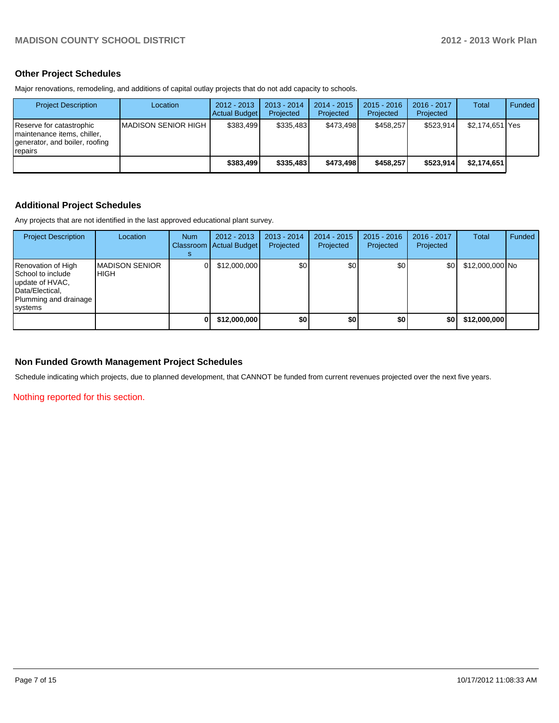### **Other Project Schedules**

Major renovations, remodeling, and additions of capital outlay projects that do not add capacity to schools.

| <b>Project Description</b>                                                                                     | Location             | 2012 - 2013<br>Actual Budget | $2013 - 2014$<br>Projected | 2014 - 2015<br>Projected | $2015 - 2016$<br>Projected | $2016 - 2017$<br>Projected | Total             | Funded |
|----------------------------------------------------------------------------------------------------------------|----------------------|------------------------------|----------------------------|--------------------------|----------------------------|----------------------------|-------------------|--------|
| Reserve for catastrophic<br>Imaintenance items, chiller,<br>generator, and boiler, roofing<br><b>I</b> repairs | IMADISON SENIOR HIGH | \$383.499                    | \$335.483                  | \$473.498                | \$458.257                  | \$523.914                  | \$2,174,651   Yes |        |
|                                                                                                                |                      | \$383.499                    | \$335.483                  | \$473.498                | \$458.257                  | \$523.914                  | \$2.174.651       |        |

## **Additional Project Schedules**

Any projects that are not identified in the last approved educational plant survey.

| <b>Project Description</b>                                                                                                 | Location                        | <b>Num</b> | $2012 - 2013$<br>Classroom   Actual Budget | $2013 - 2014$<br>Projected | $2014 - 2015$<br>Projected | $2015 - 2016$<br>Projected | 2016 - 2017<br>Projected | <b>Total</b>    | Funded |
|----------------------------------------------------------------------------------------------------------------------------|---------------------------------|------------|--------------------------------------------|----------------------------|----------------------------|----------------------------|--------------------------|-----------------|--------|
| Renovation of High<br><b>I</b> School to include<br>update of HVAC,<br>Data/Electical,<br>Plumming and drainage<br>systems | <b>IMADISON SENIOR</b><br>IHIGH |            | \$12,000,000                               | \$0                        | \$0 <sub>1</sub>           | \$0                        | \$0                      | \$12,000,000 No |        |
|                                                                                                                            |                                 |            | \$12,000,000                               | \$0                        | \$0                        | \$0                        | \$0                      | \$12,000,000    |        |

### **Non Funded Growth Management Project Schedules**

Schedule indicating which projects, due to planned development, that CANNOT be funded from current revenues projected over the next five years.

Nothing reported for this section.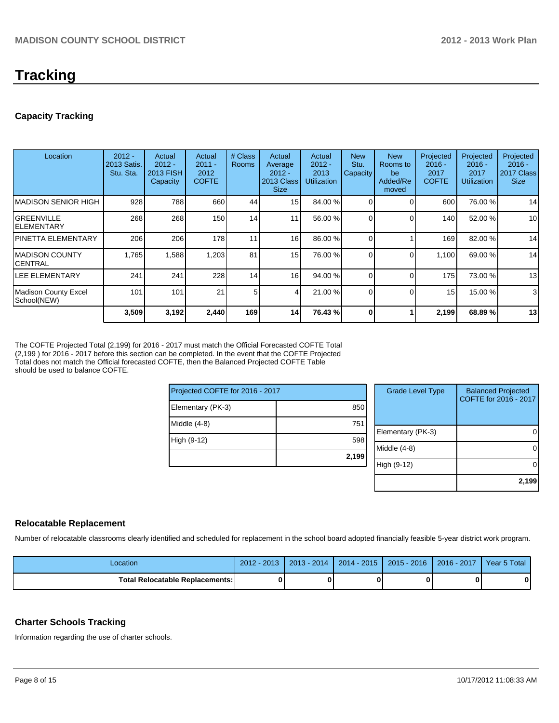# **Tracking**

## **Capacity Tracking**

| Location                                   | $2012 -$<br>2013 Satis.<br>Stu. Sta. | Actual<br>$2012 -$<br>2013 FISH<br>Capacity | Actual<br>$2011 -$<br>2012<br><b>COFTE</b> | # Class<br><b>Rooms</b> | Actual<br>Average<br>$2012 -$<br>2013 Class<br><b>Size</b> | Actual<br>$2012 -$<br>2013<br><b>Utilization</b> | <b>New</b><br>Stu.<br>Capacity | <b>New</b><br>Rooms to<br>be<br>Added/Re<br>moved | Projected<br>$2016 -$<br>2017<br><b>COFTE</b> | Projected<br>$2016 -$<br>2017<br><b>Utilization</b> | Projected<br>$2016 -$<br>2017 Class<br><b>Size</b> |
|--------------------------------------------|--------------------------------------|---------------------------------------------|--------------------------------------------|-------------------------|------------------------------------------------------------|--------------------------------------------------|--------------------------------|---------------------------------------------------|-----------------------------------------------|-----------------------------------------------------|----------------------------------------------------|
| <b>MADISON SENIOR HIGH</b>                 | 928                                  | 788                                         | 660                                        | 44                      | 15 <sup>1</sup>                                            | 84.00 %                                          |                                |                                                   | 600                                           | 76.00 %                                             | 14                                                 |
| <b>GREENVILLE</b><br><b>ELEMENTARY</b>     | 268                                  | 268                                         | 150                                        | 14                      | 11                                                         | 56.00 %                                          |                                |                                                   | 140                                           | 52.00 %                                             | 10                                                 |
| <b>PINETTA ELEMENTARY</b>                  | 206                                  | 206                                         | 178                                        | 11                      | 16                                                         | 86.00 %                                          |                                |                                                   | 169                                           | 82.00 %                                             | 14                                                 |
| IMADISON COUNTY<br><b>CENTRAL</b>          | 1,765                                | 1,588                                       | 1,203                                      | 81                      | 15 <sup>1</sup>                                            | 76.00 %                                          | 0                              | $\Omega$                                          | 1,100                                         | 69.00 %                                             | 14                                                 |
| LEE ELEMENTARY                             | 241                                  | 241                                         | 228                                        | 14 <sub>1</sub>         | 16                                                         | 94.00 %                                          |                                |                                                   | 175                                           | 73.00 %                                             | 13                                                 |
| <b>Madison County Excel</b><br>School(NEW) | 101                                  | 101                                         | 21                                         | 5                       | 41                                                         | 21.00 %                                          | $\Omega$                       | 0                                                 | 15                                            | 15.00 %                                             | 3                                                  |
|                                            | 3,509                                | 3,192                                       | 2,440                                      | 169                     | 14                                                         | 76.43 %                                          | $\Omega$                       |                                                   | 2,199                                         | 68.89%                                              | 13                                                 |

The COFTE Projected Total (2,199) for 2016 - 2017 must match the Official Forecasted COFTE Total (2,199 ) for 2016 - 2017 before this section can be completed. In the event that the COFTE Projected Total does not match the Official forecasted COFTE, then the Balanced Projected COFTE Table should be used to balance COFTE.

| Projected COFTE for 2016 - 2017 |       |   |
|---------------------------------|-------|---|
| Elementary (PK-3)               | 850   |   |
| Middle (4-8)                    | 751   | E |
| High (9-12)                     | 598   | M |
|                                 | 2,199 | H |

| <b>Grade Level Type</b> | <b>Balanced Projected</b><br>COFTE for 2016 - 2017 |
|-------------------------|----------------------------------------------------|
| Elementary (PK-3)       |                                                    |
| Middle (4-8)            |                                                    |
| High (9-12)             |                                                    |
|                         | 2,199                                              |

## **Relocatable Replacement**

Number of relocatable classrooms clearly identified and scheduled for replacement in the school board adopted financially feasible 5-year district work program.

| Location                          | $2012 - 2013$ | $2013 - 2014$ | 2014 - 2015 | $2015 - 2016$ | $2016 - 2017$ | Year 5 Total |
|-----------------------------------|---------------|---------------|-------------|---------------|---------------|--------------|
| Total Relocatable Replacements: I |               |               |             |               |               |              |

## **Charter Schools Tracking**

Information regarding the use of charter schools.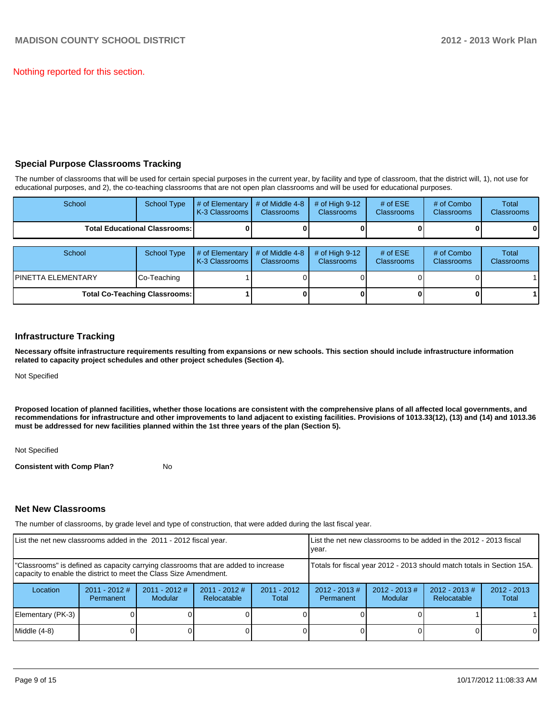Nothing reported for this section.

## **Special Purpose Classrooms Tracking**

The number of classrooms that will be used for certain special purposes in the current year, by facility and type of classroom, that the district will, 1), not use for educational purposes, and 2), the co-teaching classrooms that are not open plan classrooms and will be used for educational purposes.

| School                                 | <b>School Type</b> | # of Elementary<br>K-3 Classrooms | # of Middle 4-8<br><b>Classrooms</b> | # of High $9-12$<br><b>Classrooms</b> | # of $ESE$<br>Classrooms | # of Combo<br><b>Classrooms</b> | Total<br><b>Classrooms</b> |
|----------------------------------------|--------------------|-----------------------------------|--------------------------------------|---------------------------------------|--------------------------|---------------------------------|----------------------------|
| <b>Total Educational Classrooms: I</b> |                    |                                   |                                      |                                       |                          |                                 | οı                         |
|                                        |                    |                                   |                                      |                                       |                          |                                 |                            |
| School                                 | <b>School Type</b> | # of Elementary<br>K-3 Classrooms | # of Middle 4-8<br><b>Classrooms</b> | # of High $9-12$<br><b>Classrooms</b> | # of $ESE$<br>Classrooms | # of Combo<br><b>Classrooms</b> | Total<br><b>Classrooms</b> |
| IPINETTA ELEMENTARY                    | Co-Teaching        |                                   |                                      |                                       |                          |                                 |                            |
| <b>Total Co-Teaching Classrooms:</b>   |                    |                                   |                                      |                                       |                          |                                 |                            |

#### **Infrastructure Tracking**

**Necessary offsite infrastructure requirements resulting from expansions or new schools. This section should include infrastructure information related to capacity project schedules and other project schedules (Section 4).**

Not Specified

**Proposed location of planned facilities, whether those locations are consistent with the comprehensive plans of all affected local governments, and recommendations for infrastructure and other improvements to land adjacent to existing facilities. Provisions of 1013.33(12), (13) and (14) and 1013.36 must be addressed for new facilities planned within the 1st three years of the plan (Section 5).**

Not Specified

**Consistent with Comp Plan?** No

#### **Net New Classrooms**

The number of classrooms, by grade level and type of construction, that were added during the last fiscal year.

| List the net new classrooms added in the 2011 - 2012 fiscal year.                                                                                       |                                                                        |                                   | LList the net new classrooms to be added in the 2012 - 2013 fiscal<br>Ivear. |                        |                                                                                                                         |  |  |   |  |
|---------------------------------------------------------------------------------------------------------------------------------------------------------|------------------------------------------------------------------------|-----------------------------------|------------------------------------------------------------------------------|------------------------|-------------------------------------------------------------------------------------------------------------------------|--|--|---|--|
| "Classrooms" is defined as capacity carrying classrooms that are added to increase<br>capacity to enable the district to meet the Class Size Amendment. | Totals for fiscal year 2012 - 2013 should match totals in Section 15A. |                                   |                                                                              |                        |                                                                                                                         |  |  |   |  |
| Location                                                                                                                                                | $2011 - 2012$ #<br>Permanent                                           | $2011 - 2012$ #<br><b>Modular</b> | $2011 - 2012$ #<br>Relocatable                                               | $2011 - 2012$<br>Total | $2012 - 2013$ #<br>$2012 - 2013$ #<br>$2012 - 2013 \#$<br>$2012 - 2013$<br>Relocatable<br>Modular<br>Permanent<br>Total |  |  |   |  |
| Elementary (PK-3)                                                                                                                                       |                                                                        |                                   |                                                                              |                        |                                                                                                                         |  |  |   |  |
| Middle (4-8)                                                                                                                                            |                                                                        |                                   |                                                                              |                        |                                                                                                                         |  |  | 0 |  |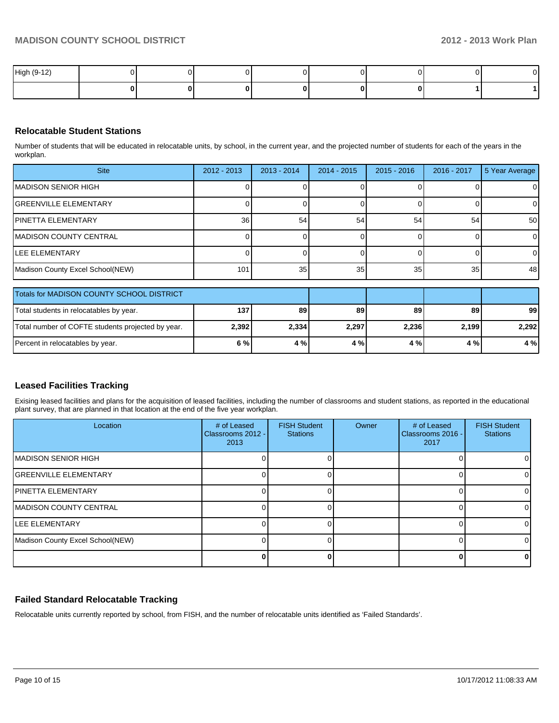| High (9-12) |  |  |  |  |
|-------------|--|--|--|--|
|             |  |  |  |  |

### **Relocatable Student Stations**

Number of students that will be educated in relocatable units, by school, in the current year, and the projected number of students for each of the years in the workplan.

| <b>Site</b>                      | $2012 - 2013$ | $2013 - 2014$   | $2014 - 2015$   | $2015 - 2016$ | 2016 - 2017 | 5 Year Average |
|----------------------------------|---------------|-----------------|-----------------|---------------|-------------|----------------|
| MADISON SENIOR HIGH              |               |                 |                 |               |             | $\overline{0}$ |
| <b>GREENVILLE ELEMENTARY</b>     |               |                 |                 |               |             | 0              |
| IPINETTA ELEMENTARY              | <b>36</b>     | 54              | 54              | 54            | 54          | 50             |
| MADISON COUNTY CENTRAL           |               |                 |                 |               |             | $\overline{0}$ |
| <b>I</b> LEE ELEMENTARY          |               |                 |                 |               |             | $\Omega$       |
| Madison County Excel School(NEW) | 101           | 35 <sub>1</sub> | 35 <sub>1</sub> | 35            | 35          | 48             |
|                                  |               |                 |                 |               |             |                |

| <b>Totals for MADISON COUNTY SCHOOL DISTRICT</b>  |                  |       |       |       |       |       |
|---------------------------------------------------|------------------|-------|-------|-------|-------|-------|
| Total students in relocatables by year.           | 137 <sub>1</sub> | 89    | 89    | 89    | 89    | 99    |
| Total number of COFTE students projected by year. | 2,392            | 2,334 | 2,297 | 2,236 | 2,199 | 2.292 |
| Percent in relocatables by year.                  | 6 % l            | 4 %   | 4%    | 4 % I | 4%    | 4 % l |

## **Leased Facilities Tracking**

Exising leased facilities and plans for the acquisition of leased facilities, including the number of classrooms and student stations, as reported in the educational plant survey, that are planned in that location at the end of the five year workplan.

| Location                         | # of Leased<br>Classrooms 2012 - I<br>2013 | <b>FISH Student</b><br><b>Stations</b> | Owner | # of Leased<br>Classrooms 2016 -<br>2017 | <b>FISH Student</b><br><b>Stations</b> |
|----------------------------------|--------------------------------------------|----------------------------------------|-------|------------------------------------------|----------------------------------------|
| <b>MADISON SENIOR HIGH</b>       |                                            |                                        |       |                                          |                                        |
| <b>IGREENVILLE ELEMENTARY</b>    |                                            |                                        |       |                                          |                                        |
| <b>IPINETTA ELEMENTARY</b>       |                                            |                                        |       |                                          |                                        |
| <b>IMADISON COUNTY CENTRAL</b>   |                                            |                                        |       |                                          |                                        |
| <b>ILEE ELEMENTARY</b>           |                                            |                                        |       |                                          |                                        |
| Madison County Excel School(NEW) |                                            |                                        |       |                                          |                                        |
|                                  |                                            |                                        |       |                                          |                                        |

## **Failed Standard Relocatable Tracking**

Relocatable units currently reported by school, from FISH, and the number of relocatable units identified as 'Failed Standards'.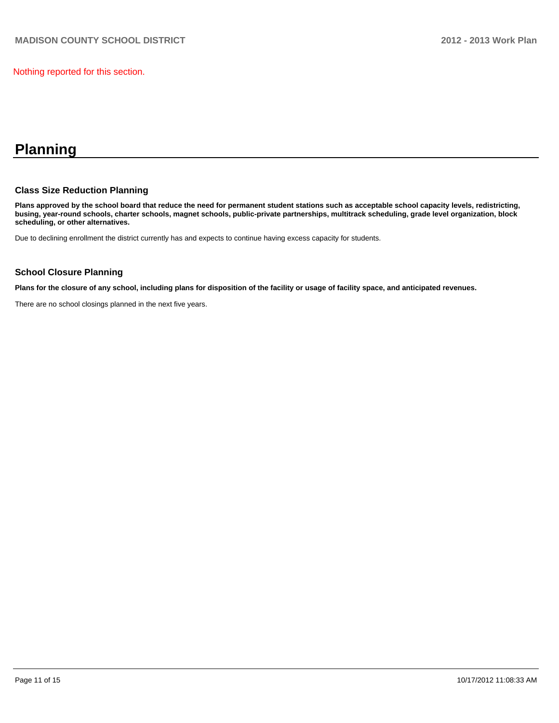Nothing reported for this section.

# **Planning**

#### **Class Size Reduction Planning**

**Plans approved by the school board that reduce the need for permanent student stations such as acceptable school capacity levels, redistricting, busing, year-round schools, charter schools, magnet schools, public-private partnerships, multitrack scheduling, grade level organization, block scheduling, or other alternatives.**

Due to declining enrollment the district currently has and expects to continue having excess capacity for students.

#### **School Closure Planning**

**Plans for the closure of any school, including plans for disposition of the facility or usage of facility space, and anticipated revenues.**

There are no school closings planned in the next five years.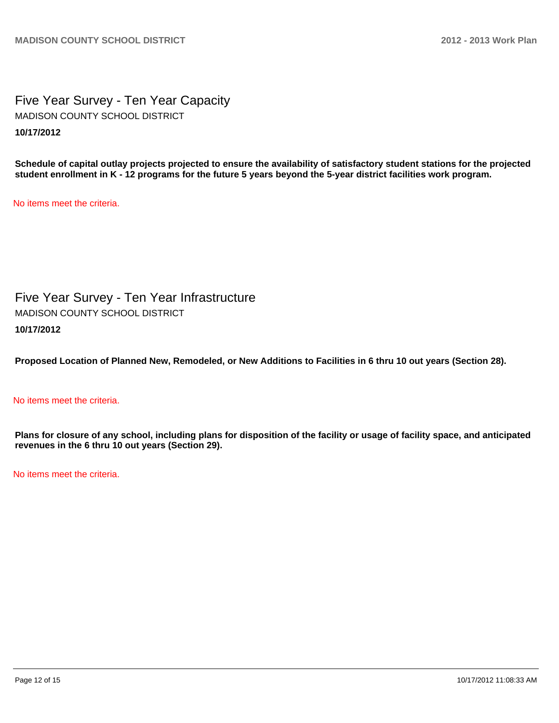Five Year Survey - Ten Year Capacity **10/17/2012** MADISON COUNTY SCHOOL DISTRICT

**Schedule of capital outlay projects projected to ensure the availability of satisfactory student stations for the projected student enrollment in K - 12 programs for the future 5 years beyond the 5-year district facilities work program.**

No items meet the criteria.

Five Year Survey - Ten Year Infrastructure **10/17/2012** MADISON COUNTY SCHOOL DISTRICT

**Proposed Location of Planned New, Remodeled, or New Additions to Facilities in 6 thru 10 out years (Section 28).**

### No items meet the criteria.

**Plans for closure of any school, including plans for disposition of the facility or usage of facility space, and anticipated revenues in the 6 thru 10 out years (Section 29).**

No items meet the criteria.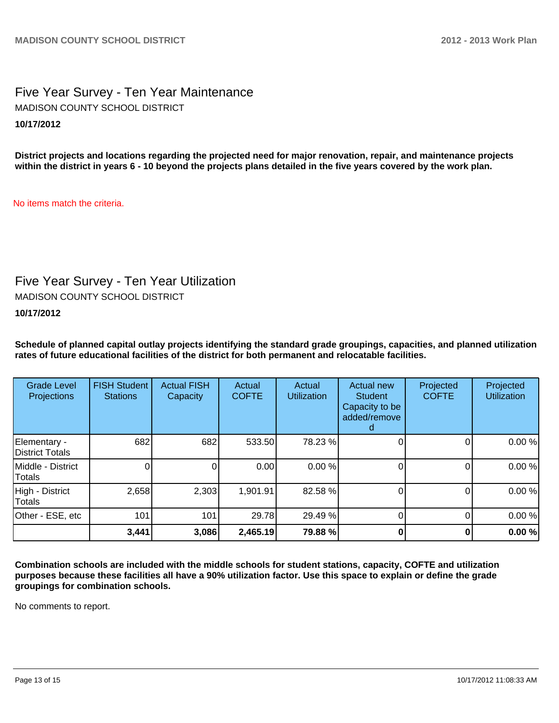## Five Year Survey - Ten Year Maintenance **10/17/2012** MADISON COUNTY SCHOOL DISTRICT

**District projects and locations regarding the projected need for major renovation, repair, and maintenance projects within the district in years 6 - 10 beyond the projects plans detailed in the five years covered by the work plan.**

No items match the criteria.

## Five Year Survey - Ten Year Utilization

MADISON COUNTY SCHOOL DISTRICT

## **10/17/2012**

**Schedule of planned capital outlay projects identifying the standard grade groupings, capacities, and planned utilization rates of future educational facilities of the district for both permanent and relocatable facilities.**

| <b>Grade Level</b><br><b>Projections</b> | <b>FISH Student</b><br><b>Stations</b> | <b>Actual FISH</b><br>Capacity | Actual<br><b>COFTE</b> | Actual<br><b>Utilization</b> | Actual new<br><b>Student</b><br>Capacity to be<br>added/remove | Projected<br><b>COFTE</b> | Projected<br><b>Utilization</b> |
|------------------------------------------|----------------------------------------|--------------------------------|------------------------|------------------------------|----------------------------------------------------------------|---------------------------|---------------------------------|
| Elementary -<br>District Totals          | 682                                    | 682                            | 533.50                 | 78.23 %                      |                                                                |                           | 0.00%                           |
| Middle - District<br>Totals              |                                        |                                | 0.00                   | 0.00%                        |                                                                |                           | 0.00%                           |
| High - District<br>Totals                | 2,658                                  | 2,303                          | 1,901.91               | 82.58 %                      |                                                                |                           | 0.00%                           |
| Other - ESE, etc                         | 101                                    | 101                            | 29.78                  | 29.49 %                      |                                                                |                           | 0.00%                           |
|                                          | 3,441                                  | 3,086                          | 2,465.19               | 79.88 %                      |                                                                |                           | 0.00%                           |

**Combination schools are included with the middle schools for student stations, capacity, COFTE and utilization purposes because these facilities all have a 90% utilization factor. Use this space to explain or define the grade groupings for combination schools.**

No comments to report.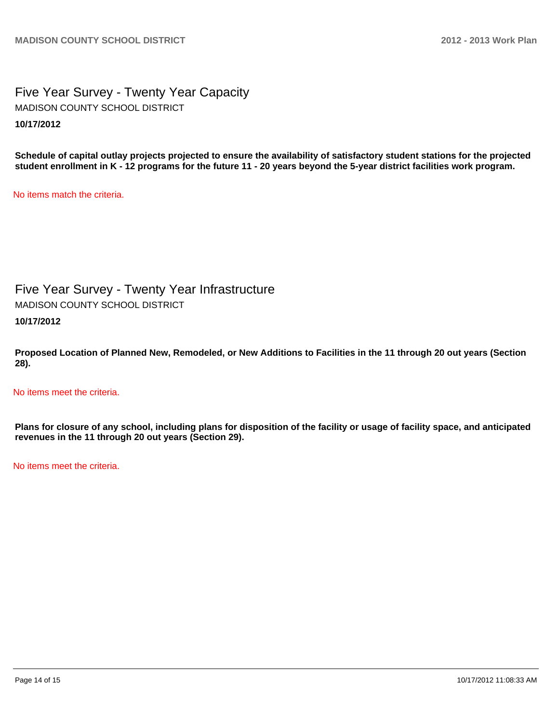## Five Year Survey - Twenty Year Capacity **10/17/2012** MADISON COUNTY SCHOOL DISTRICT

**Schedule of capital outlay projects projected to ensure the availability of satisfactory student stations for the projected student enrollment in K - 12 programs for the future 11 - 20 years beyond the 5-year district facilities work program.**

No items match the criteria.

Five Year Survey - Twenty Year Infrastructure MADISON COUNTY SCHOOL DISTRICT

**10/17/2012**

**Proposed Location of Planned New, Remodeled, or New Additions to Facilities in the 11 through 20 out years (Section 28).**

No items meet the criteria.

**Plans for closure of any school, including plans for disposition of the facility or usage of facility space, and anticipated revenues in the 11 through 20 out years (Section 29).**

No items meet the criteria.